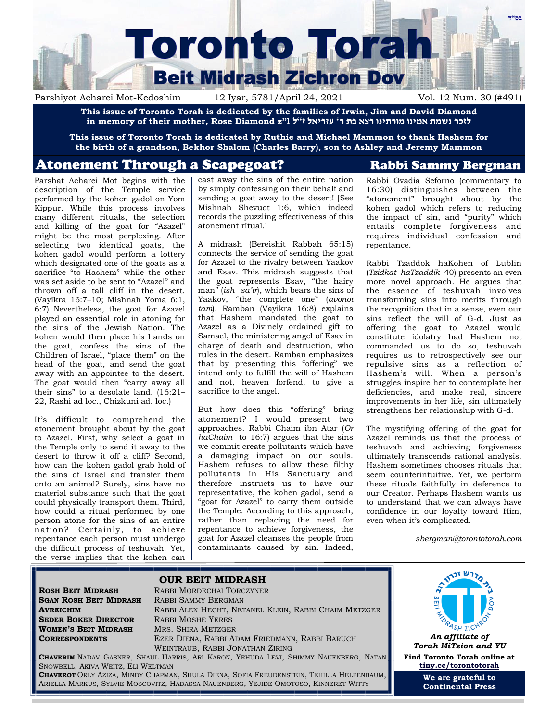

Parshiyot Acharei Mot-Kedoshim 12 Iyar, 5781/April 24, 2021 Vol. 12 Num. 30 (#491)

**This issue of Toronto Torah is dedicated by the families of Irwin, Jim and David Diamond**  לזכר נשמת אמינו מורתינו רצא בת ר' עזריאל ז"ל 1"z ו"in memory of their mother, Rose Diamond z

**This issue of Toronto Torah is dedicated by Ruthie and Michael Mammon to thank Hashem for the birth of a grandson, Bekhor Shalom (Charles Barry), son to Ashley and Jeremy Mammon**

# Atonement Through a Scapegoat? Rabbi Sammy Bergman

Parshat Acharei Mot begins with the description of the Temple service performed by the kohen gadol on Yom Kippur. While this process involves many different rituals, the selection and killing of the goat for "Azazel" might be the most perplexing. After selecting two identical goats, the kohen gadol would perform a lottery which designated one of the goats as a sacrifice "to Hashem" while the other was set aside to be sent to "Azazel" and thrown off a tall cliff in the desert. (Vayikra 16:7–10; Mishnah Yoma 6:1, 6:7) Nevertheless, the goat for Azazel played an essential role in atoning for the sins of the Jewish Nation. The kohen would then place his hands on the goat, confess the sins of the Children of Israel, "place them" on the head of the goat, and send the goat away with an appointee to the desert. The goat would then "carry away all their sins" to a desolate land. (16:21– 22, Rashi ad loc., Chizkuni ad. loc.)

It's difficult to comprehend the atonement brought about by the goat to Azazel. First, why select a goat in the Temple only to send it away to the desert to throw it off a cliff? Second, how can the kohen gadol grab hold of the sins of Israel and transfer them onto an animal? Surely, sins have no material substance such that the goat could physically transport them. Third, how could a ritual performed by one person atone for the sins of an entire nation? Certainly, to achieve repentance each person must undergo the difficult process of teshuvah. Yet, the verse implies that the kohen can

cast away the sins of the entire nation by simply confessing on their behalf and sending a goat away to the desert! [See Mishnah Shevuot 1:6, which indeed records the puzzling effectiveness of this atonement ritual.]

A midrash (Bereishit Rabbah 65:15) connects the service of sending the goat for Azazel to the rivalry between Yaakov and Esav. This midrash suggests that the goat represents Esav, "the hairy man" (*ish sa'ir*), which bears the sins of Yaakov, "the complete one" (*avonot tam*). Ramban (Vayikra 16:8) explains that Hashem mandated the goat to Azazel as a Divinely ordained gift to Samael, the ministering angel of Esav in charge of death and destruction, who rules in the desert. Ramban emphasizes that by presenting this "offering" we intend only to fulfill the will of Hashem and not, heaven forfend, to give a sacrifice to the angel.

But how does this "offering" bring atonement? I would present two approaches. Rabbi Chaim ibn Atar (*Or haChaim* to 16:7) argues that the sins we commit create pollutants which have a damaging impact on our souls. Hashem refuses to allow these filthy pollutants in His Sanctuary and therefore instructs us to have our representative, the kohen gadol, send a "goat for Azazel" to carry them outside the Temple. According to this approach, rather than replacing the need for repentance to achieve forgiveness, the goat for Azazel cleanses the people from contaminants caused by sin. Indeed,

Rabbi Ovadia Seforno (commentary to 16:30) distinguishes between the "atonement" brought about by the kohen gadol which refers to reducing the impact of sin, and "purity" which entails complete forgiveness and requires individual confession and repentance.

Rabbi Tzaddok haKohen of Lublin (*Tzidkat haTzaddik* 40) presents an even more novel approach. He argues that the essence of teshuvah involves transforming sins into merits through the recognition that in a sense, even our sins reflect the will of G-d. Just as offering the goat to Azazel would constitute idolatry had Hashem not commanded us to do so, teshuvah requires us to retrospectively see our repulsive sins as a reflection of Hashem's will. When a person's struggles inspire her to contemplate her deficiencies, and make real, sincere improvements in her life, sin ultimately strengthens her relationship with G-d.

The mystifying offering of the goat for Azazel reminds us that the process of teshuvah and achieving forgiveness ultimately transcends rational analysis. Hashem sometimes chooses rituals that seem counterintuitive. Yet, we perform these rituals faithfully in deference to our Creator. Perhaps Hashem wants us to understand that we can always have confidence in our loyalty toward Him, even when it's complicated.

*sbergman@torontotorah.com*

**SGAN ROSH BEIT MIDRASH** RABBI SAMMY BERGMAN **SEDER BOKER DIRECTOR** RABBI MOSHE YERES **WOMEN'S BEIT MIDRASH** MRS. SHIRA METZGER

**ROSH BEIT MIDRASH** RABBI MORDECHAI TORCZYNER **AVREICHIM** RABBI ALEX HECHT, NETANEL KLEIN, RABBI CHAIM METZGER **CORRESPONDENTS** EZER DIENA, RABBI ADAM FRIEDMANN, RABBI BARUCH WEINTRAUB, RABBI JONATHAN ZIRING



**OUR BEIT MIDRASH**



*Torah MiTzion and YU* **Find Toronto Torah online at [tiny.cc/torontotorah](http://tiny.cc/torontotorah)**

> **We are grateful to Continental Press**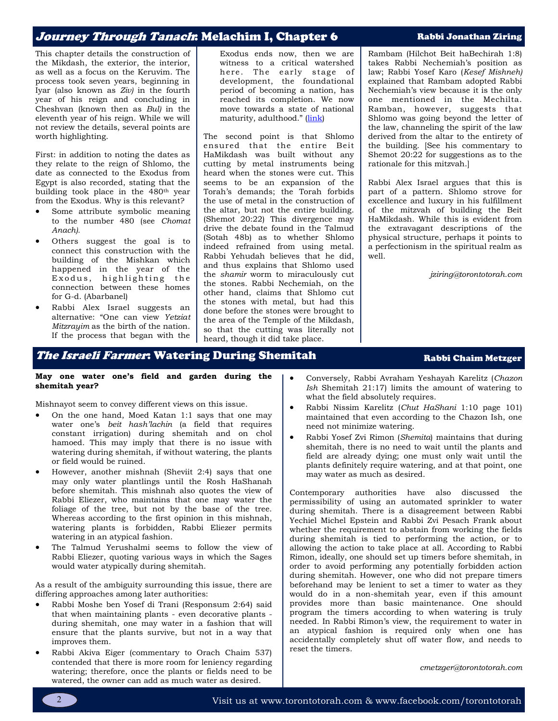## Journey Through Tanach: Melachim I, Chapter 6 Rabbi Jonathan Ziring

This chapter details the construction of the Mikdash, the exterior, the interior, as well as a focus on the Keruvim. The process took seven years, beginning in Iyar (also known as *Ziv)* in the fourth year of his reign and concluding in Cheshvan (known then as *Bul)* in the eleventh year of his reign. While we will not review the details, several points are worth highlighting.

First: in addition to noting the dates as they relate to the reign of Shlomo, the date as connected to the Exodus from Egypt is also recorded, stating that the building took place in the 480th year from the Exodus. Why is this relevant?

- Some attribute symbolic meaning to the number 480 (see *Chomat Anach).*
- Others suggest the goal is to connect this construction with the building of the Mishkan which happened in the year of the Exodus, highlighting the connection between these homes for G-d. (Abarbanel)
- Rabbi Alex Israel suggests an alternative: "One can view *Yetziat Mitzrayim* as the birth of the nation. If the process that began with the

Exodus ends now, then we are witness to a critical watershed here. The early stage of development, the foundational period of becoming a nation, has reached its completion. We now move towards a state of national maturity, adulthood." ([link\)](https://www.etzion.org.il/en/shiur-6-chapter-6-mikdash)

The second point is that Shlomo ensured that the entire Beit HaMikdash was built without any cutting by metal instruments being heard when the stones were cut. This seems to be an expansion of the Torah's demands; the Torah forbids the use of metal in the construction of the altar, but not the entire building. (Shemot 20:22) This divergence may drive the debate found in the Talmud (Sotah 48b) as to whether Shlomo indeed refrained from using metal. Rabbi Yehudah believes that he did, and thus explains that Shlomo used the *shamir* worm to miraculously cut the stones. Rabbi Nechemiah, on the other hand, claims that Shlomo cut the stones with metal, but had this done before the stones were brought to the area of the Temple of the Mikdash, so that the cutting was literally not heard, though it did take place.

Rambam (Hilchot Beit haBechirah 1:8) takes Rabbi Nechemiah's position as law; Rabbi Yosef Karo (*Kesef Mishneh)*  explained that Rambam adopted Rabbi Nechemiah's view because it is the only one mentioned in the Mechilta. Ramban, however, suggests that Shlomo was going beyond the letter of the law, channeling the spirit of the law derived from the altar to the entirety of the building. [See his commentary to Shemot 20:22 for suggestions as to the rationale for this mitzvah.]

Rabbi Alex Israel argues that this is part of a pattern. Shlomo strove for excellence and luxury in his fulfillment of the mitzvah of building the Beit HaMikdash. While this is evident from the extravagant descriptions of the physical structure, perhaps it points to a perfectionism in the spiritual realm as well.

*jziring@torontotorah.com*

# The Israeli Farmer: Watering During Shemitah Rabbi Chaim Metzger

#### **May one water one's field and garden during the shemitah year?**

Mishnayot seem to convey different views on this issue.

- On the one hand, Moed Katan 1:1 says that one may water one's *beit hash'lachin* (a field that requires constant irrigation) during shemitah and on chol hamoed. This may imply that there is no issue with watering during shemitah, if without watering, the plants or field would be ruined.
- However, another mishnah (Sheviit 2:4) says that one may only water plantlings until the Rosh HaShanah before shemitah. This mishnah also quotes the view of Rabbi Eliezer, who maintains that one may water the foliage of the tree, but not by the base of the tree. Whereas according to the first opinion in this mishnah, watering plants is forbidden, Rabbi Eliezer permits watering in an atypical fashion.
- The Talmud Yerushalmi seems to follow the view of Rabbi Eliezer, quoting various ways in which the Sages would water atypically during shemitah.

As a result of the ambiguity surrounding this issue, there are differing approaches among later authorities:

- Rabbi Moshe ben Yosef di Trani (Responsum 2:64) said that when maintaining plants - even decorative plants during shemitah, one may water in a fashion that will ensure that the plants survive, but not in a way that improves them.
- Rabbi Akiva Eiger (commentary to Orach Chaim 537) contended that there is more room for leniency regarding watering; therefore, once the plants or fields need to be watered, the owner can add as much water as desired.
- Conversely, Rabbi Avraham Yeshayah Karelitz (*Chazon Ish* Shemitah 21:17) limits the amount of watering to what the field absolutely requires.
- Rabbi Nissim Karelitz (*Chut HaShani* 1:10 page 101) maintained that even according to the Chazon Ish, one need not minimize watering.
- Rabbi Yosef Zvi Rimon (*Shemita*) maintains that during shemitah, there is no need to wait until the plants and field are already dying; one must only wait until the plants definitely require watering, and at that point, one may water as much as desired.

Contemporary authorities have also discussed the permissibility of using an automated sprinkler to water during shemitah. There is a disagreement between Rabbi Yechiel Michel Epstein and Rabbi Zvi Pesach Frank about whether the requirement to abstain from working the fields during shemitah is tied to performing the action, or to allowing the action to take place at all. According to Rabbi Rimon, ideally, one should set up timers before shemitah, in order to avoid performing any potentially forbidden action during shemitah. However, one who did not prepare timers beforehand may be lenient to set a timer to water as they would do in a non-shemitah year, even if this amount provides more than basic maintenance. One should program the timers according to when watering is truly needed. In Rabbi Rimon's view, the requirement to water in an atypical fashion is required only when one has accidentally completely shut off water flow, and needs to reset the timers.

*cmetzger@torontotorah.com*

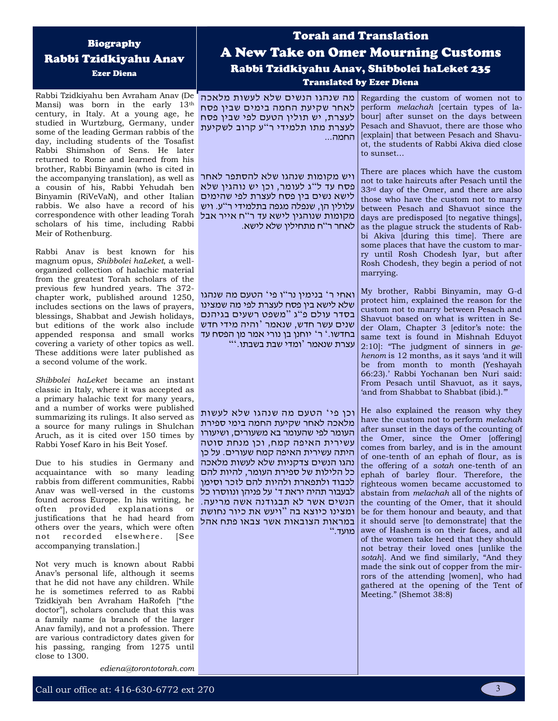### Call our office at:  $416-630-6772$  ext 270  $\overline{\phantom{a}}$  3

# Biography Rabbi Tzidkiyahu Anav

Ezer Diena

Rabbi Tzidkiyahu ben Avraham Anav (De Mansi) was born in the early 13th century, in Italy. At a young age, he studied in Wurtzburg, Germany, under some of the leading German rabbis of the day, including students of the Tosafist Rabbi Shimshon of Sens. He later returned to Rome and learned from his brother, Rabbi Binyamin (who is cited in the accompanying translation), as well as a cousin of his, Rabbi Yehudah ben Binyamin (RiVeVaN), and other Italian rabbis. We also have a record of his correspondence with other leading Torah scholars of his time, including Rabbi Meir of Rothenburg.

Rabbi Anav is best known for his magnum opus, *Shibbolei haLeket*, a wellorganized collection of halachic material from the greatest Torah scholars of the previous few hundred years. The 372 chapter work, published around 1250, includes sections on the laws of prayers, blessings, Shabbat and Jewish holidays, but editions of the work also include שנים עשר חדש, שנאמר 'והיה מידי חדש appended responsa and small works covering a variety of other topics as well. These additions were later published as a second volume of the work.

*Shibbolei haLeket* became an instant classic in Italy, where it was accepted as a primary halachic text for many years, and a number of works were published summarizing its rulings. It also served as a source for many rulings in Shulchan Aruch, as it is cited over 150 times by Rabbi Yosef Karo in his Beit Yosef.

Due to his studies in Germany and acquaintance with so many leading rabbis from different communities, Rabbi Anav was well-versed in the customs found across Europe. In his writing, he often provided explanations or justifications that he had heard from others over the years, which were often not recorded elsewhere. [See accompanying translation.]

Not very much is known about Rabbi Anav's personal life, although it seems that he did not have any children. While he is sometimes referred to as Rabbi Tzidkiyah ben Avraham HaRofeh ["the doctor"], scholars conclude that this was a family name (a branch of the larger Anav family), and not a profession. There are various contradictory dates given for his passing, ranging from 1275 until close to 1300.

*ediena@torontotorah.com*

# Torah and Translation A New Take on Omer Mourning Customs Rabbi Tzidkiyahu Anav, Shibbolei haLeket 235 Translated by Ezer Diena

מה שנהגו הנשים שלא לעשות מלאכה לאחר שקיעת החמה בימים שבין פסח לעצרת, יש תולין הטעם לפי שבין פסח לעצרת מתו תלמידי ר"ע קרוב לשקיעת החמה...

ויש מקומות שנהגו שלא להסתפר לאחר פסח עד ל"ג לעומר, וכו יש נוהגיו שלא לישא נשים בין פסח לעצרת לפי שהימים עלולין הן, שנפלה מגפה בתלמידי ר"ע. ויש מקומות שנוהגין לישא עד ר"ח אייר אבל לאחר ר"ח מתחילין שלא לישא.

ואחי ר' בנימין נר"ו פי' הטעם מה שנהגו שלא לישא בין פסח לעצרת לפי מה שמצינו בסדר עולם פ"ג "משפט רשעים בגיהנם בחדשו.' ר' יוחנן בן נורי אמר מן הפסח עד עצרת שנאמר 'ומדי שבת בשבתו.'"

וכן פי ' הטעם מה שנהגו שלא לעשות מלאכה לאחר שקיעת החמה בימי ספירת העומר לפי שהעומר בא משעורים, ושיעורו עשירית האיפה קמח, וכן מנחת סוטה היתה עשירית האיפה קמח שעורים. על כן נהגו הנשים צדקניות שלא לעשות מלאכה כל הלילות של ספירת העומר, להיות להם לכבוד ולתפארת ולהיות להם לזכר וסימן לבעבור תהיה יראת ד' על פניהן ונווסרו כל הנשים אשר לא תבגודנה אשה מריעה. ומצינו כיוצא בה " ויעש את כיור נחושת במראות הצובאות אשר צבאו פתח אהל מועד."

Regarding the custom of women not to perform *melachah* [certain types of labour] after sunset on the days between Pesach and Shavuot, there are those who [explain] that between Pesach and Shavuot, the students of Rabbi Akiva died close to sunset…

There are places which have the custom not to take haircuts after Pesach until the 33rd day of the Omer, and there are also those who have the custom not to marry between Pesach and Shavuot since the days are predisposed [to negative things], as the plague struck the students of Rabbi Akiva [during this time]. There are some places that have the custom to marry until Rosh Chodesh Iyar, but after Rosh Chodesh, they begin a period of not marrying.

My brother, Rabbi Binyamin, may G-d protect him, explained the reason for the custom not to marry between Pesach and Shavuot based on what is written in Seder Olam, Chapter 3 [editor's note: the same text is found in Mishnah Eduyot 2:10]: "The judgment of sinners in *gehenom* is 12 months, as it says 'and it will be from month to month (Yeshayah 66:23).' Rabbi Yochanan ben Nuri said: From Pesach until Shavuot, as it says, 'and from Shabbat to Shabbat (ibid.)."

He also explained the reason why they have the custom not to perform *melachah*  after sunset in the days of the counting of the Omer, since the Omer [offering] comes from barley, and is in the amount of one-tenth of an ephah of flour, as is the offering of a *sotah* one-tenth of an ephah of barley flour. Therefore, the righteous women became accustomed to abstain from *melachah* all of the nights of the counting of the Omer, that it should be for them honour and beauty, and that it should serve [to demonstrate] that the awe of Hashem is on their faces, and all of the women take heed that they should not betray their loved ones [unlike the *sotah*]. And we find similarly, "And they made the sink out of copper from the mirrors of the attending [women], who had gathered at the opening of the Tent of Meeting." (Shemot 38:8)